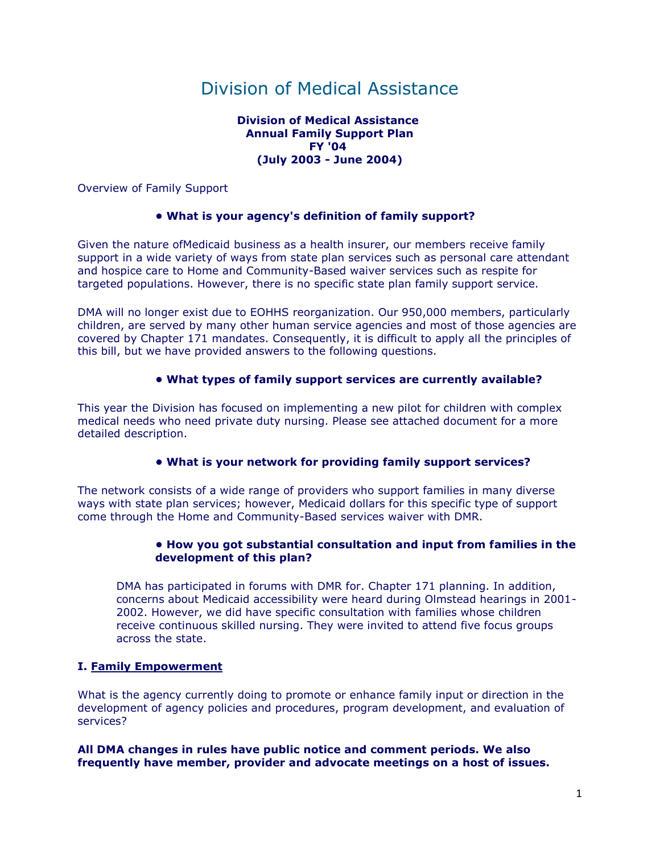# Division of Medical Assistance

## **Division of Medical Assistance Annual Family Support Plan FY '04 (July 2003 - June 2004)**

Overview of Family Support

# **• What is your agency's definition of family support?**

Given the nature ofMedicaid business as a health insurer, our members receive family support in a wide variety of ways from state plan services such as personal care attendant and hospice care to Home and Community-Based waiver services such as respite for targeted populations. However, there is no specific state plan family support service.

DMA will no longer exist due to EOHHS reorganization. Our 950,000 members, particularly children, are served by many other human service agencies and most of those agencies are covered by Chapter 171 mandates. Consequently, it is difficult to apply all the principles of this bill, but we have provided answers to the following questions.

# **• What types of family support services are currently available?**

This year the Division has focused on implementing a new pilot for children with complex medical needs who need private duty nursing. Please see attached document for a more detailed description.

# **• What is your network for providing family support services?**

The network consists of a wide range of providers who support families in many diverse ways with state plan services; however, Medicaid dollars for this specific type of support come through the Home and Community-Based services waiver with DMR.

# **• How you got substantial consultation and input from families in the development of this plan?**

DMA has participated in forums with DMR for. Chapter 171 planning. In addition, concerns about Medicaid accessibility were heard during Olmstead hearings in 2001- 2002. However, we did have specific consultation with families whose children receive continuous skilled nursing. They were invited to attend five focus groups across the state.

# **I. Family Empowerment**

What is the agency currently doing to promote or enhance family input or direction in the development of agency policies and procedures, program development, and evaluation of services?

**All DMA changes in rules have public notice and comment periods. We also frequently have member, provider and advocate meetings on a host of issues.**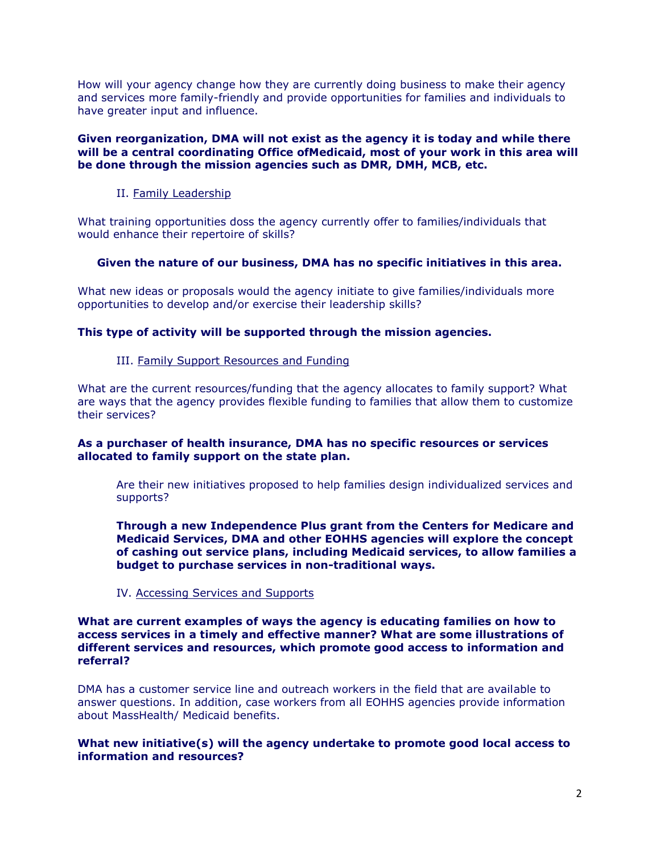How will your agency change how they are currently doing business to make their agency and services more family-friendly and provide opportunities for families and individuals to have greater input and influence.

#### **Given reorganization, DMA will not exist as the agency it is today and while there will be a central coordinating Office ofMedicaid, most of your work in this area will be done through the mission agencies such as DMR, DMH, MCB, etc.**

II. Family Leadership

What training opportunities doss the agency currently offer to families/individuals that would enhance their repertoire of skills?

# **Given the nature of our business, DMA has no specific initiatives in this area.**

What new ideas or proposals would the agency initiate to give families/individuals more opportunities to develop and/or exercise their leadership skills?

# **This type of activity will be supported through the mission agencies.**

# III. Family Support Resources and Funding

What are the current resources/funding that the agency allocates to family support? What are ways that the agency provides flexible funding to families that allow them to customize their services?

# **As a purchaser of health insurance, DMA has no specific resources or services allocated to family support on the state plan.**

Are their new initiatives proposed to help families design individualized services and supports?

**Through a new Independence Plus grant from the Centers for Medicare and Medicaid Services, DMA and other EOHHS agencies will explore the concept of cashing out service plans, including Medicaid services, to allow families a budget to purchase services in non-traditional ways.**

# IV. Accessing Services and Supports

#### **What are current examples of ways the agency is educating families on how to access services in a timely and effective manner? What are some illustrations of different services and resources, which promote good access to information and referral?**

DMA has a customer service line and outreach workers in the field that are available to answer questions. In addition, case workers from all EOHHS agencies provide information about MassHealth/ Medicaid benefits.

#### **What new initiative(s) will the agency undertake to promote good local access to information and resources?**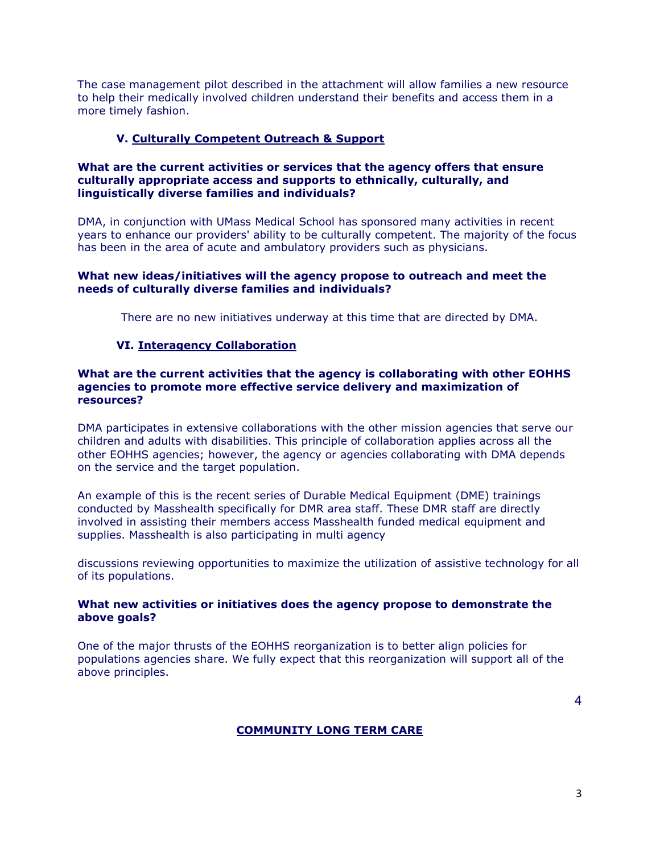The case management pilot described in the attachment will allow families a new resource to help their medically involved children understand their benefits and access them in a more timely fashion.

# **V. Culturally Competent Outreach & Support**

#### **What are the current activities or services that the agency offers that ensure culturally appropriate access and supports to ethnically, culturally, and linguistically diverse families and individuals?**

DMA, in conjunction with UMass Medical School has sponsored many activities in recent years to enhance our providers' ability to be culturally competent. The majority of the focus has been in the area of acute and ambulatory providers such as physicians.

## **What new ideas/initiatives will the agency propose to outreach and meet the needs of culturally diverse families and individuals?**

There are no new initiatives underway at this time that are directed by DMA.

# **VI. Interagency Collaboration**

## **What are the current activities that the agency is collaborating with other EOHHS agencies to promote more effective service delivery and maximization of resources?**

DMA participates in extensive collaborations with the other mission agencies that serve our children and adults with disabilities. This principle of collaboration applies across all the other EOHHS agencies; however, the agency or agencies collaborating with DMA depends on the service and the target population.

An example of this is the recent series of Durable Medical Equipment (DME) trainings conducted by Masshealth specifically for DMR area staff. These DMR staff are directly involved in assisting their members access Masshealth funded medical equipment and supplies. Masshealth is also participating in multi agency

discussions reviewing opportunities to maximize the utilization of assistive technology for all of its populations.

## **What new activities or initiatives does the agency propose to demonstrate the above goals?**

One of the major thrusts of the EOHHS reorganization is to better align policies for populations agencies share. We fully expect that this reorganization will support all of the above principles.

4

# **COMMUNITY LONG TERM CARE**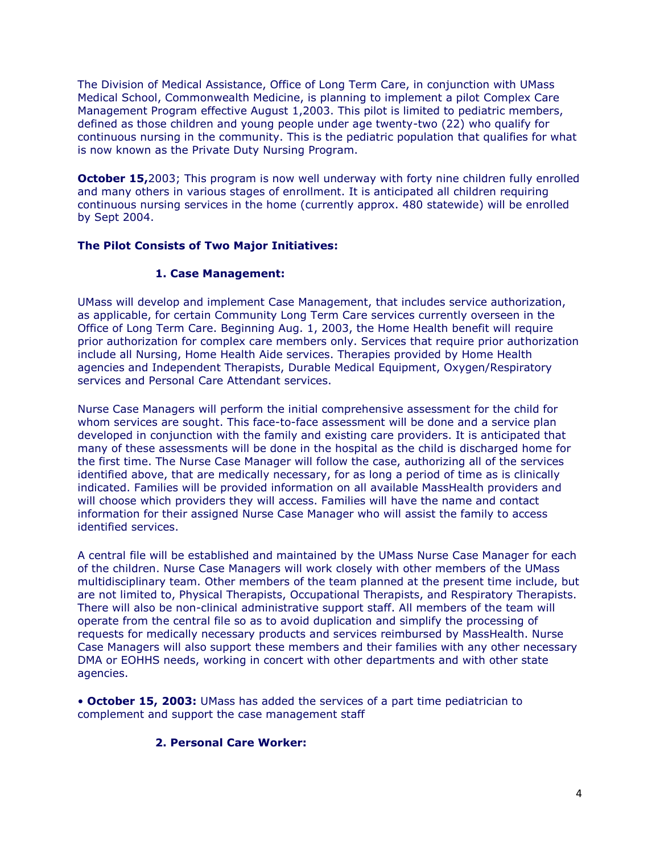The Division of Medical Assistance, Office of Long Term Care, in conjunction with UMass Medical School, Commonwealth Medicine, is planning to implement a pilot Complex Care Management Program effective August 1,2003. This pilot is limited to pediatric members, defined as those children and young people under age twenty-two (22) who qualify for continuous nursing in the community. This is the pediatric population that qualifies for what is now known as the Private Duty Nursing Program.

**October 15,**2003; This program is now well underway with forty nine children fully enrolled and many others in various stages of enrollment. It is anticipated all children requiring continuous nursing services in the home (currently approx. 480 statewide) will be enrolled by Sept 2004.

# **The Pilot Consists of Two Major Initiatives:**

# **1. Case Management:**

UMass will develop and implement Case Management, that includes service authorization, as applicable, for certain Community Long Term Care services currently overseen in the Office of Long Term Care. Beginning Aug. 1, 2003, the Home Health benefit will require prior authorization for complex care members only. Services that require prior authorization include all Nursing, Home Health Aide services. Therapies provided by Home Health agencies and Independent Therapists, Durable Medical Equipment, Oxygen/Respiratory services and Personal Care Attendant services.

Nurse Case Managers will perform the initial comprehensive assessment for the child for whom services are sought. This face-to-face assessment will be done and a service plan developed in conjunction with the family and existing care providers. It is anticipated that many of these assessments will be done in the hospital as the child is discharged home for the first time. The Nurse Case Manager will follow the case, authorizing all of the services identified above, that are medically necessary, for as long a period of time as is clinically indicated. Families will be provided information on all available MassHealth providers and will choose which providers they will access. Families will have the name and contact information for their assigned Nurse Case Manager who will assist the family to access identified services.

A central file will be established and maintained by the UMass Nurse Case Manager for each of the children. Nurse Case Managers will work closely with other members of the UMass multidisciplinary team. Other members of the team planned at the present time include, but are not limited to, Physical Therapists, Occupational Therapists, and Respiratory Therapists. There will also be non-clinical administrative support staff. All members of the team will operate from the central file so as to avoid duplication and simplify the processing of requests for medically necessary products and services reimbursed by MassHealth. Nurse Case Managers will also support these members and their families with any other necessary DMA or EOHHS needs, working in concert with other departments and with other state agencies.

• **October 15, 2003:** UMass has added the services of a part time pediatrician to complement and support the case management staff

# **2. Personal Care Worker:**